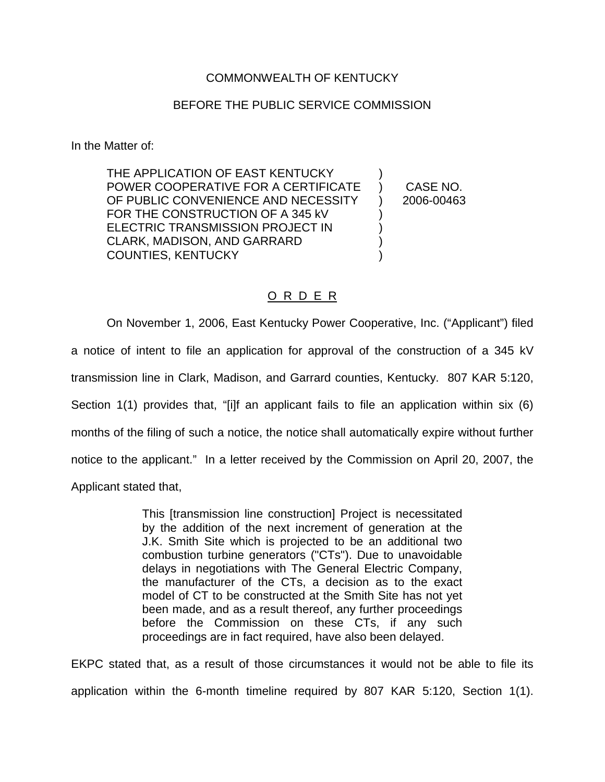### COMMONWEALTH OF KENTUCKY

#### BEFORE THE PUBLIC SERVICE COMMISSION

In the Matter of:

THE APPLICATION OF EAST KENTUCKY POWER COOPERATIVE FOR A CERTIFICATE OF PUBLIC CONVENIENCE AND NECESSITY FOR THE CONSTRUCTION OF A 345 kV ELECTRIC TRANSMISSION PROJECT IN CLARK, MADISON, AND GARRARD COUNTIES, KENTUCKY ) ) CASE NO. ) 2006-00463 ) ) ) )

#### O R D E R

On November 1, 2006, East Kentucky Power Cooperative, Inc. ("Applicant") filed a notice of intent to file an application for approval of the construction of a 345 kV transmission line in Clark, Madison, and Garrard counties, Kentucky. 807 KAR 5:120, Section 1(1) provides that, "[i]f an applicant fails to file an application within six (6) months of the filing of such a notice, the notice shall automatically expire without further notice to the applicant." In a letter received by the Commission on April 20, 2007, the Applicant stated that,

> This [transmission line construction] Project is necessitated by the addition of the next increment of generation at the J.K. Smith Site which is projected to be an additional two combustion turbine generators ("CTs"). Due to unavoidable delays in negotiations with The General Electric Company, the manufacturer of the CTs, a decision as to the exact model of CT to be constructed at the Smith Site has not yet been made, and as a result thereof, any further proceedings before the Commission on these CTs, if any such proceedings are in fact required, have also been delayed.

EKPC stated that, as a result of those circumstances it would not be able to file its application within the 6-month timeline required by 807 KAR 5:120, Section 1(1).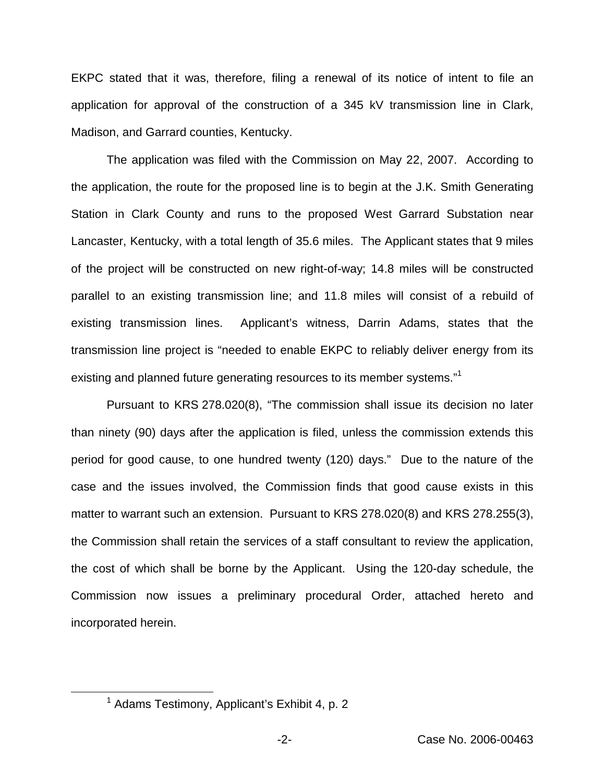EKPC stated that it was, therefore, filing a renewal of its notice of intent to file an application for approval of the construction of a 345 kV transmission line in Clark, Madison, and Garrard counties, Kentucky.

The application was filed with the Commission on May 22, 2007. According to the application, the route for the proposed line is to begin at the J.K. Smith Generating Station in Clark County and runs to the proposed West Garrard Substation near Lancaster, Kentucky, with a total length of 35.6 miles. The Applicant states that 9 miles of the project will be constructed on new right-of-way; 14.8 miles will be constructed parallel to an existing transmission line; and 11.8 miles will consist of a rebuild of existing transmission lines. Applicant's witness, Darrin Adams, states that the transmission line project is "needed to enable EKPC to reliably deliver energy from its existing and planned future generating resources to its member systems."<sup>1</sup>

Pursuant to KRS 278.020(8), "The commission shall issue its decision no later than ninety (90) days after the application is filed, unless the commission extends this period for good cause, to one hundred twenty (120) days." Due to the nature of the case and the issues involved, the Commission finds that good cause exists in this matter to warrant such an extension. Pursuant to KRS 278.020(8) and KRS 278.255(3), the Commission shall retain the services of a staff consultant to review the application, the cost of which shall be borne by the Applicant. Using the 120-day schedule, the Commission now issues a preliminary procedural Order, attached hereto and incorporated herein.

<sup>1</sup> Adams Testimony, Applicant's Exhibit 4, p. 2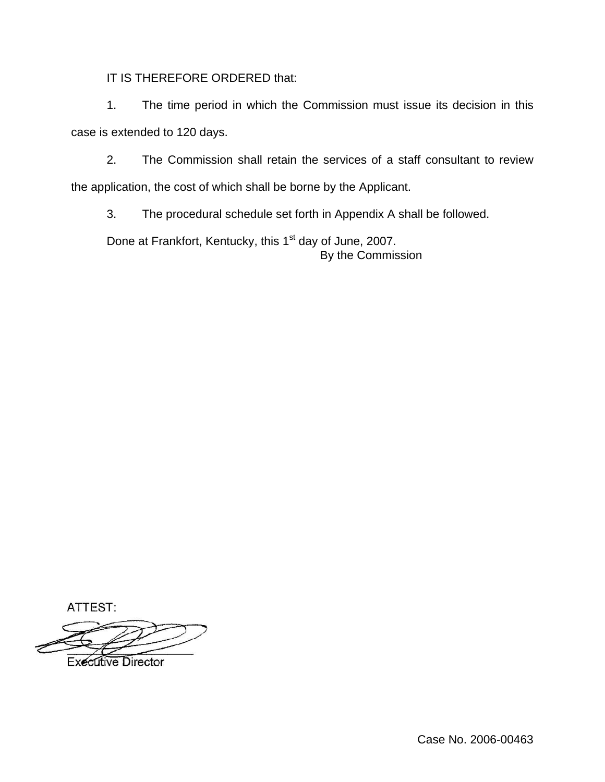IT IS THEREFORE ORDERED that:

1. The time period in which the Commission must issue its decision in this case is extended to 120 days.

2. The Commission shall retain the services of a staff consultant to review the application, the cost of which shall be borne by the Applicant.

3. The procedural schedule set forth in Appendix A shall be followed.

Done at Frankfort, Kentucky, this 1<sup>st</sup> day of June, 2007. By the Commission

ATTEST:

**Executive Director** 

Case No. 2006-00463